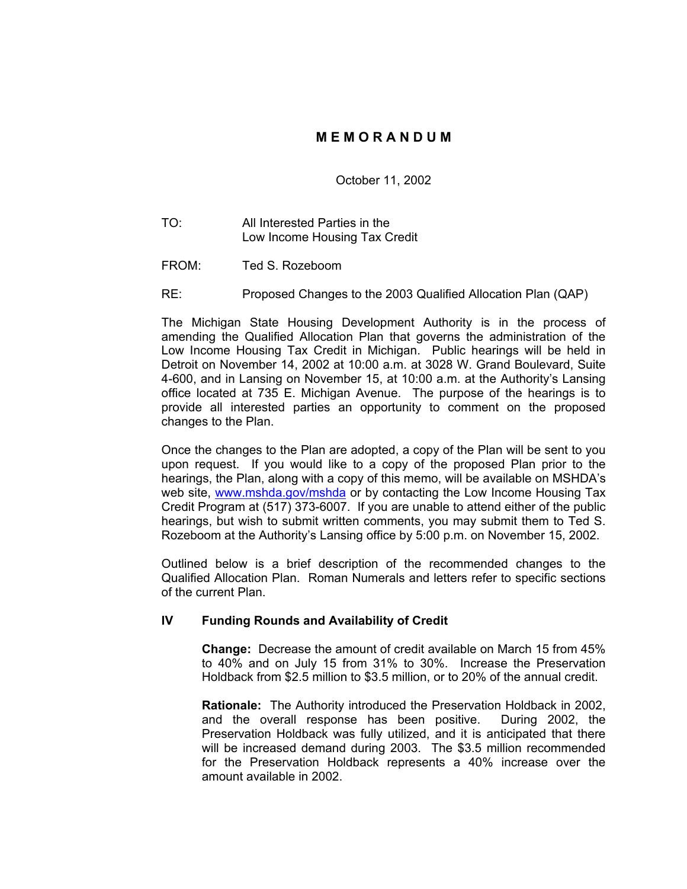# **M E M O R A N D U M**

October 11, 2002

- TO: All Interested Parties in the Low Income Housing Tax Credit
- FROM: Ted S. Rozeboom
- RE: Proposed Changes to the 2003 Qualified Allocation Plan (QAP)

The Michigan State Housing Development Authority is in the process of amending the Qualified Allocation Plan that governs the administration of the Low Income Housing Tax Credit in Michigan. Public hearings will be held in Detroit on November 14, 2002 at 10:00 a.m. at 3028 W. Grand Boulevard, Suite 4-600, and in Lansing on November 15, at 10:00 a.m. at the Authority's Lansing office located at 735 E. Michigan Avenue. The purpose of the hearings is to provide all interested parties an opportunity to comment on the proposed changes to the Plan.

Once the changes to the Plan are adopted, a copy of the Plan will be sent to you upon request. If you would like to a copy of the proposed Plan prior to the hearings, the Plan, along with a copy of this memo, will be available on MSHDA's web site, [www.mshda.gov/mshda](http://www.mshda.gov/mshda) or by contacting the Low Income Housing Tax Credit Program at (517) 373-6007. If you are unable to attend either of the public hearings, but wish to submit written comments, you may submit them to Ted S. Rozeboom at the Authority's Lansing office by 5:00 p.m. on November 15, 2002.

Outlined below is a brief description of the recommended changes to the Qualified Allocation Plan. Roman Numerals and letters refer to specific sections of the current Plan.

### **IV Funding Rounds and Availability of Credit**

**Change:** Decrease the amount of credit available on March 15 from 45% to 40% and on July 15 from 31% to 30%. Increase the Preservation Holdback from \$2.5 million to \$3.5 million, or to 20% of the annual credit.

**Rationale:** The Authority introduced the Preservation Holdback in 2002, and the overall response has been positive. During 2002, the Preservation Holdback was fully utilized, and it is anticipated that there will be increased demand during 2003. The \$3.5 million recommended for the Preservation Holdback represents a 40% increase over the amount available in 2002.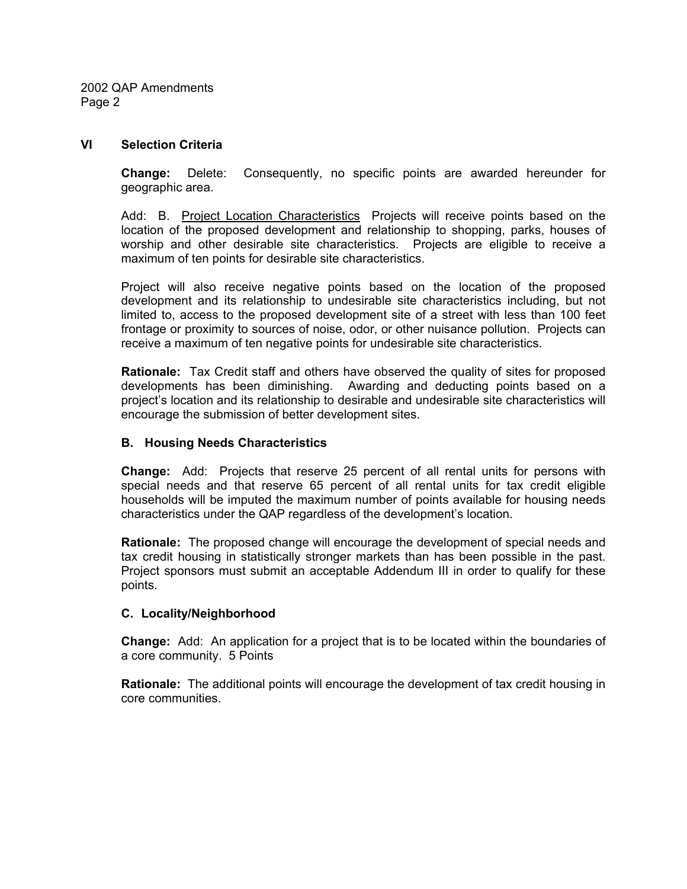2002 QAP Amendments Page 2

### **VI Selection Criteria**

**Change:** Delete: Consequently, no specific points are awarded hereunder for geographic area.

Add: B. Project Location Characteristics Projects will receive points based on the location of the proposed development and relationship to shopping, parks, houses of worship and other desirable site characteristics. Projects are eligible to receive a maximum of ten points for desirable site characteristics.

Project will also receive negative points based on the location of the proposed development and its relationship to undesirable site characteristics including, but not limited to, access to the proposed development site of a street with less than 100 feet frontage or proximity to sources of noise, odor, or other nuisance pollution. Projects can receive a maximum of ten negative points for undesirable site characteristics.

**Rationale:** Tax Credit staff and others have observed the quality of sites for proposed developments has been diminishing. Awarding and deducting points based on a project's location and its relationship to desirable and undesirable site characteristics will encourage the submission of better development sites.

### **B. Housing Needs Characteristics**

**Change:** Add: Projects that reserve 25 percent of all rental units for persons with special needs and that reserve 65 percent of all rental units for tax credit eligible households will be imputed the maximum number of points available for housing needs characteristics under the QAP regardless of the development's location.

**Rationale:** The proposed change will encourage the development of special needs and tax credit housing in statistically stronger markets than has been possible in the past. Project sponsors must submit an acceptable Addendum III in order to qualify for these points.

### **C. Locality/Neighborhood**

**Change:** Add: An application for a project that is to be located within the boundaries of a core community. 5 Points

**Rationale:** The additional points will encourage the development of tax credit housing in core communities.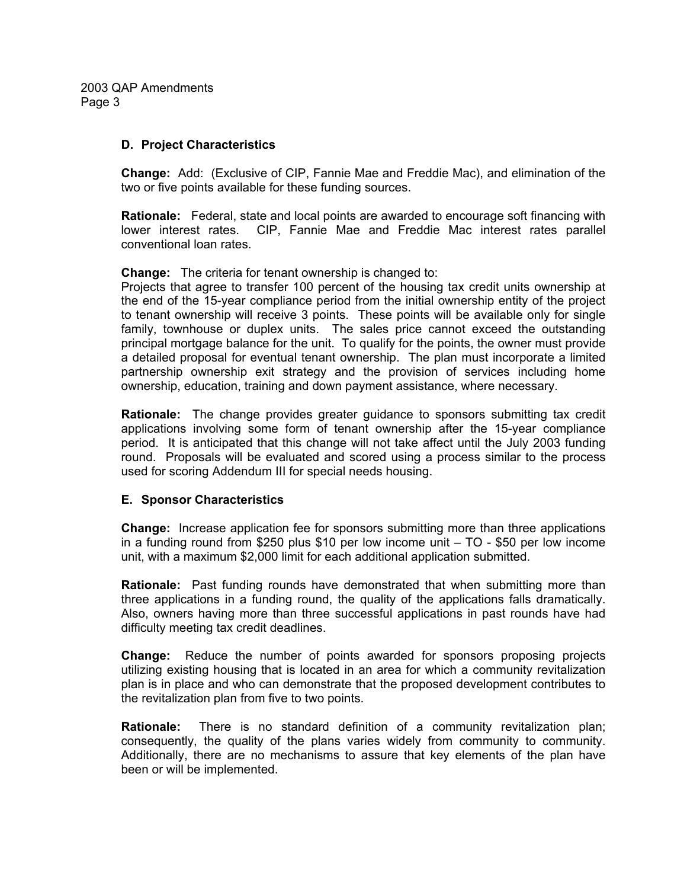2003 QAP Amendments Page 3

### **D. Project Characteristics**

**Change:** Add: (Exclusive of CIP, Fannie Mae and Freddie Mac), and elimination of the two or five points available for these funding sources.

**Rationale:** Federal, state and local points are awarded to encourage soft financing with lower interest rates. CIP, Fannie Mae and Freddie Mac interest rates parallel conventional loan rates.

**Change:** The criteria for tenant ownership is changed to:

Projects that agree to transfer 100 percent of the housing tax credit units ownership at the end of the 15-year compliance period from the initial ownership entity of the project to tenant ownership will receive 3 points. These points will be available only for single family, townhouse or duplex units. The sales price cannot exceed the outstanding principal mortgage balance for the unit. To qualify for the points, the owner must provide a detailed proposal for eventual tenant ownership. The plan must incorporate a limited partnership ownership exit strategy and the provision of services including home ownership, education, training and down payment assistance, where necessary.

**Rationale:** The change provides greater guidance to sponsors submitting tax credit applications involving some form of tenant ownership after the 15-year compliance period. It is anticipated that this change will not take affect until the July 2003 funding round. Proposals will be evaluated and scored using a process similar to the process used for scoring Addendum III for special needs housing.

# **E. Sponsor Characteristics**

**Change:** Increase application fee for sponsors submitting more than three applications in a funding round from \$250 plus \$10 per low income unit – TO - \$50 per low income unit, with a maximum \$2,000 limit for each additional application submitted.

**Rationale:** Past funding rounds have demonstrated that when submitting more than three applications in a funding round, the quality of the applications falls dramatically. Also, owners having more than three successful applications in past rounds have had difficulty meeting tax credit deadlines.

**Change:** Reduce the number of points awarded for sponsors proposing projects utilizing existing housing that is located in an area for which a community revitalization plan is in place and who can demonstrate that the proposed development contributes to the revitalization plan from five to two points.

**Rationale:** There is no standard definition of a community revitalization plan; consequently, the quality of the plans varies widely from community to community. Additionally, there are no mechanisms to assure that key elements of the plan have been or will be implemented.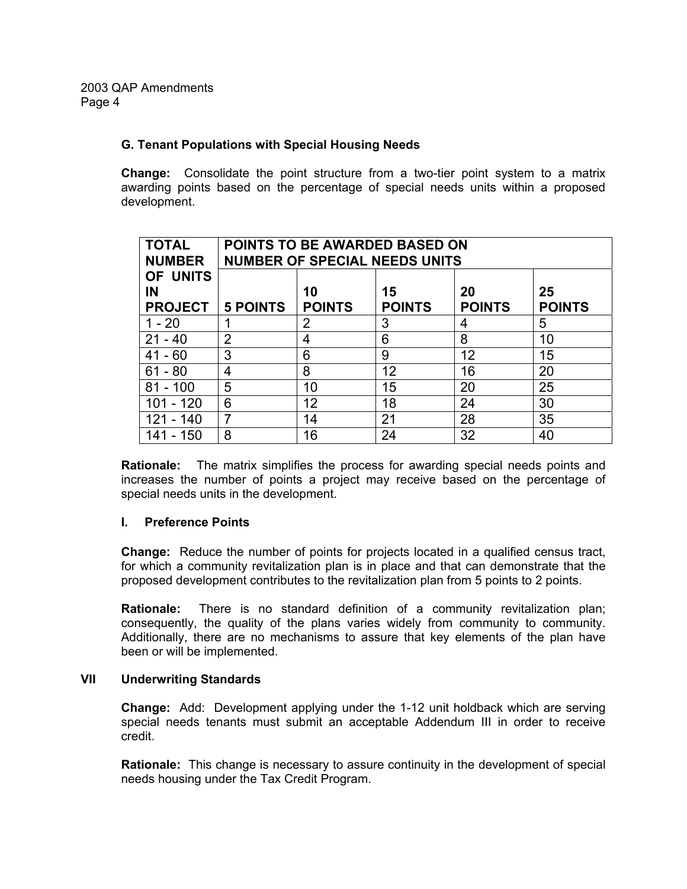### **G. Tenant Populations with Special Housing Needs**

**Change:** Consolidate the point structure from a two-tier point system to a matrix awarding points based on the percentage of special needs units within a proposed development.

| <b>TOTAL</b><br><b>NUMBER</b>    | <b>POINTS TO BE AWARDED BASED ON</b><br><b>NUMBER OF SPECIAL NEEDS UNITS</b> |                     |                     |                     |                     |
|----------------------------------|------------------------------------------------------------------------------|---------------------|---------------------|---------------------|---------------------|
| OF UNITS<br>IN<br><b>PROJECT</b> | <b>5 POINTS</b>                                                              | 10<br><b>POINTS</b> | 15<br><b>POINTS</b> | 20<br><b>POINTS</b> | 25<br><b>POINTS</b> |
| $1 - 20$                         |                                                                              | $\overline{2}$      | 3                   | 4                   | 5                   |
| 21<br>- 40                       | $\overline{2}$                                                               | 4                   | 6                   | 8                   | 10                  |
| $41 - 60$                        | 3                                                                            | 6                   | 9                   | 12                  | 15                  |
| $61 - 80$                        | 4                                                                            | 8                   | 12                  | 16                  | 20                  |
| $81 - 100$                       | 5                                                                            | 10                  | 15                  | 20                  | 25                  |
| 101 - 120                        | 6                                                                            | 12                  | 18                  | 24                  | 30                  |
| 121 - 140                        |                                                                              | 14                  | 21                  | 28                  | 35                  |
| 141 - 150                        | 8                                                                            | 16                  | 24                  | 32                  | 40                  |

**Rationale:** The matrix simplifies the process for awarding special needs points and increases the number of points a project may receive based on the percentage of special needs units in the development.

# **I. Preference Points**

**Change:** Reduce the number of points for projects located in a qualified census tract, for which a community revitalization plan is in place and that can demonstrate that the proposed development contributes to the revitalization plan from 5 points to 2 points.

**Rationale:** There is no standard definition of a community revitalization plan; consequently, the quality of the plans varies widely from community to community. Additionally, there are no mechanisms to assure that key elements of the plan have been or will be implemented.

### **VII Underwriting Standards**

**Change:** Add: Development applying under the 1-12 unit holdback which are serving special needs tenants must submit an acceptable Addendum III in order to receive credit.

**Rationale:** This change is necessary to assure continuity in the development of special needs housing under the Tax Credit Program.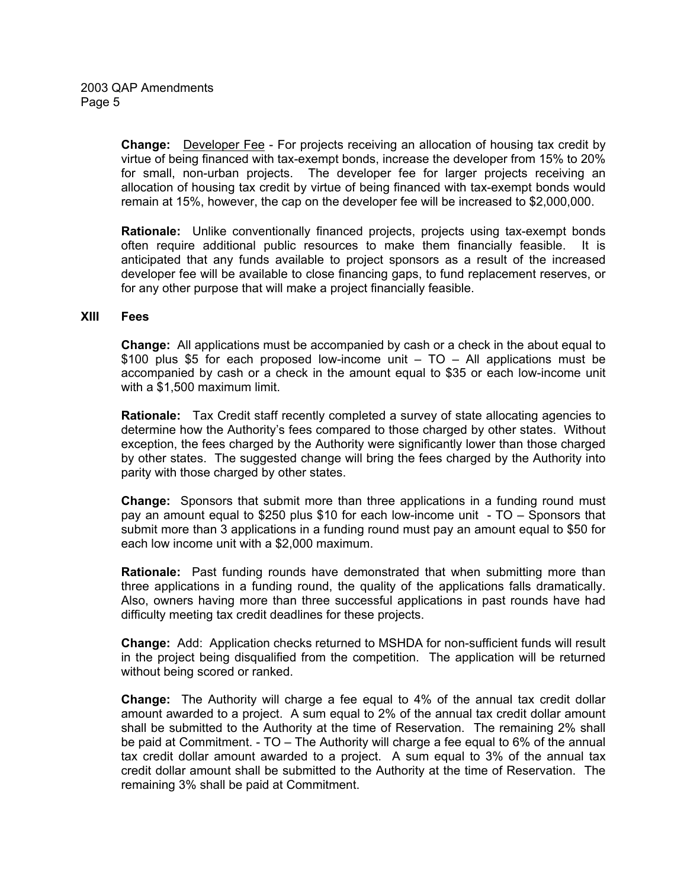**Change:** Developer Fee - For projects receiving an allocation of housing tax credit by virtue of being financed with tax-exempt bonds, increase the developer from 15% to 20% for small, non-urban projects. The developer fee for larger projects receiving an allocation of housing tax credit by virtue of being financed with tax-exempt bonds would remain at 15%, however, the cap on the developer fee will be increased to \$2,000,000.

**Rationale:** Unlike conventionally financed projects, projects using tax-exempt bonds often require additional public resources to make them financially feasible. It is anticipated that any funds available to project sponsors as a result of the increased developer fee will be available to close financing gaps, to fund replacement reserves, or for any other purpose that will make a project financially feasible.

### **XIII Fees**

**Change:** All applications must be accompanied by cash or a check in the about equal to \$100 plus \$5 for each proposed low-income unit – TO – All applications must be accompanied by cash or a check in the amount equal to \$35 or each low-income unit with a \$1,500 maximum limit.

**Rationale:** Tax Credit staff recently completed a survey of state allocating agencies to determine how the Authority's fees compared to those charged by other states. Without exception, the fees charged by the Authority were significantly lower than those charged by other states. The suggested change will bring the fees charged by the Authority into parity with those charged by other states.

**Change:** Sponsors that submit more than three applications in a funding round must pay an amount equal to \$250 plus \$10 for each low-income unit - TO – Sponsors that submit more than 3 applications in a funding round must pay an amount equal to \$50 for each low income unit with a \$2,000 maximum.

**Rationale:** Past funding rounds have demonstrated that when submitting more than three applications in a funding round, the quality of the applications falls dramatically. Also, owners having more than three successful applications in past rounds have had difficulty meeting tax credit deadlines for these projects.

**Change:** Add: Application checks returned to MSHDA for non-sufficient funds will result in the project being disqualified from the competition. The application will be returned without being scored or ranked.

**Change:** The Authority will charge a fee equal to 4% of the annual tax credit dollar amount awarded to a project. A sum equal to 2% of the annual tax credit dollar amount shall be submitted to the Authority at the time of Reservation. The remaining 2% shall be paid at Commitment. - TO – The Authority will charge a fee equal to 6% of the annual tax credit dollar amount awarded to a project. A sum equal to 3% of the annual tax credit dollar amount shall be submitted to the Authority at the time of Reservation. The remaining 3% shall be paid at Commitment.